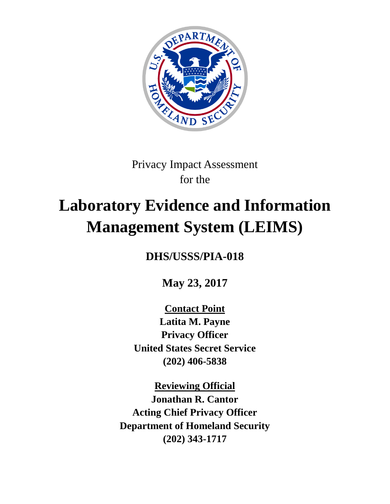

Privacy Impact Assessment for the

# **Laboratory Evidence and Information Management System (LEIMS)**

**DHS/USSS/PIA-018**

**May 23, 2017**

**Contact Point Latita M. Payne Privacy Officer United States Secret Service (202) 406-5838**

**Reviewing Official Jonathan R. Cantor Acting Chief Privacy Officer Department of Homeland Security (202) 343-1717**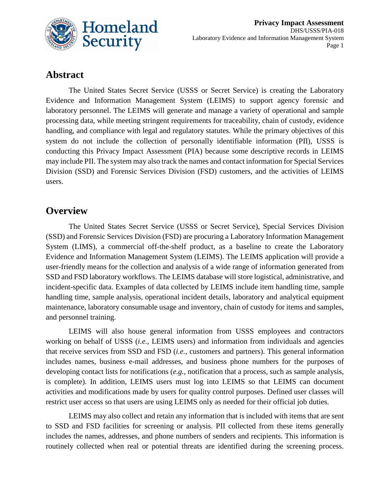

# **Abstract**

The United States Secret Service (USSS or Secret Service) is creating the Laboratory Evidence and Information Management System (LEIMS) to support agency forensic and laboratory personnel. The LEIMS will generate and manage a variety of operational and sample processing data, while meeting stringent requirements for traceability, chain of custody, evidence handling, and compliance with legal and regulatory statutes. While the primary objectives of this system do not include the collection of personally identifiable information (PII), USSS is conducting this Privacy Impact Assessment (PIA) because some descriptive records in LEIMS may include PII. The system may also track the names and contact information for Special Services Division (SSD) and Forensic Services Division (FSD) customers, and the activities of LEIMS users.

#### **Overview**

The United States Secret Service (USSS or Secret Service), Special Services Division (SSD) and Forensic Services Division (FSD) are procuring a Laboratory Information Management System (LIMS), a commercial off-the-shelf product, as a baseline to create the Laboratory Evidence and Information Management System (LEIMS). The LEIMS application will provide a user-friendly means for the collection and analysis of a wide range of information generated from SSD and FSD laboratory workflows. The LEIMS database will store logistical, administrative, and incident-specific data. Examples of data collected by LEIMS include item handling time, sample handling time, sample analysis, operational incident details, laboratory and analytical equipment maintenance, laboratory consumable usage and inventory, chain of custody for items and samples, and personnel training.

LEIMS will also house general information from USSS employees and contractors working on behalf of USSS (*i.e.*, LEIMS users) and information from individuals and agencies that receive services from SSD and FSD (*i.e.*, customers and partners). This general information includes names, business e-mail addresses, and business phone numbers for the purposes of developing contact lists for notifications (*e.g.*, notification that a process, such as sample analysis, is complete). In addition, LEIMS users must log into LEIMS so that LEIMS can document activities and modifications made by users for quality control purposes. Defined user classes will restrict user access so that users are using LEIMS only as needed for their official job duties.

LEIMS may also collect and retain any information that is included with items that are sent to SSD and FSD facilities for screening or analysis. PII collected from these items generally includes the names, addresses, and phone numbers of senders and recipients. This information is routinely collected when real or potential threats are identified during the screening process.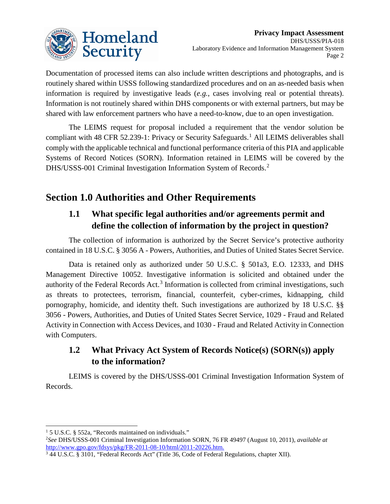

Documentation of processed items can also include written descriptions and photographs, and is routinely shared within USSS following standardized procedures and on an as-needed basis when information is required by investigative leads (*e.g.*, cases involving real or potential threats). Information is not routinely shared within DHS components or with external partners, but may be shared with law enforcement partners who have a need-to-know, due to an open investigation.

The LEIMS request for proposal included a requirement that the vendor solution be compliant with 48 CFR 52.239-1: Privacy or Security Safeguards. [1](#page-2-0) All LEIMS deliverables shall comply with the applicable technical and functional performance criteria of this PIA and applicable Systems of Record Notices (SORN). Information retained in LEIMS will be covered by the DHS/USSS-001 Criminal Investigation Information System of Records.<sup>[2](#page-2-1)</sup>

# **Section 1.0 Authorities and Other Requirements**

# **1.1 What specific legal authorities and/or agreements permit and define the collection of information by the project in question?**

The collection of information is authorized by the Secret Service's protective authority contained in 18 U.S.C. § 3056 A - Powers, Authorities, and Duties of United States Secret Service.

Data is retained only as authorized under 50 U.S.C. § 501a3, E.O. 12333, and DHS Management Directive 10052. Investigative information is solicited and obtained under the authority of the Federal Records Act.<sup>[3](#page-2-2)</sup> Information is collected from criminal investigations, such as threats to protectees, terrorism, financial, counterfeit, cyber-crimes, kidnapping, child pornography, homicide, and identity theft. Such investigations are authorized by 18 U.S.C. §§ 3056 - Powers, Authorities, and Duties of United States Secret Service, 1029 - Fraud and Related Activity in Connection with Access Devices, and 1030 - Fraud and Related Activity in Connection with Computers.

# **1.2 What Privacy Act System of Records Notice(s) (SORN(s)) apply to the information?**

LEIMS is covered by the DHS/USSS-001 Criminal Investigation Information System of Records.

<span id="page-2-0"></span><sup>&</sup>lt;sup>1</sup> 5 U.S.C. § 552a, "Records maintained on individuals."

<span id="page-2-1"></span><sup>2</sup> *See* DHS/USSS-001 Criminal Investigation Information SORN, 76 FR 49497 (August 10, 2011), *available at* [http://www.gpo.gov/fdsys/pkg/FR-2011-08-10/html/2011-20226.htm.](http://www.gpo.gov/fdsys/pkg/FR-2011-08-10/html/2011-20226.htm)

<span id="page-2-2"></span><sup>3</sup> 44 U.S.C. § 3101, "Federal Records Act" (Title 36, Code of Federal Regulations, chapter XII).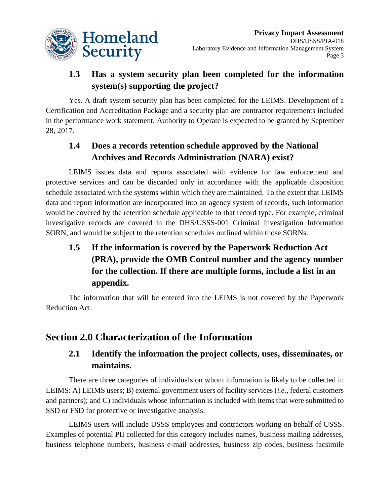

# **1.3 Has a system security plan been completed for the information system(s) supporting the project?**

Yes. A draft system security plan has been completed for the LEIMS. Development of a Certification and Accreditation Package and a security plan are contractor requirements included in the performance work statement. Authority to Operate is expected to be granted by September 28, 2017.

# **1.4 Does a records retention schedule approved by the National Archives and Records Administration (NARA) exist?**

LEIMS issues data and reports associated with evidence for law enforcement and protective services and can be discarded only in accordance with the applicable disposition schedule associated with the systems within which they are maintained. To the extent that LEIMS data and report information are incorporated into an agency system of records, such information would be covered by the retention schedule applicable to that record type. For example, criminal investigative records are covered in the DHS/USSS-001 Criminal Investigation Information SORN, and would be subject to the retention schedules outlined within those SORNs.

**1.5 If the information is covered by the Paperwork Reduction Act (PRA), provide the OMB Control number and the agency number for the collection. If there are multiple forms, include a list in an appendix.**

The information that will be entered into the LEIMS is not covered by the Paperwork Reduction Act.

# **Section 2.0 Characterization of the Information**

#### **2.1 Identify the information the project collects, uses, disseminates, or maintains.**

There are three categories of individuals on whom information is likely to be collected in LEIMS: A) LEIMS users; B) external government users of facility services (*i.e.*, federal customers and partners); and C) individuals whose information is included with items that were submitted to SSD or FSD for protective or investigative analysis.

LEIMS users will include USSS employees and contractors working on behalf of USSS. Examples of potential PII collected for this category includes names, business mailing addresses, business telephone numbers, business e-mail addresses, business zip codes, business facsimile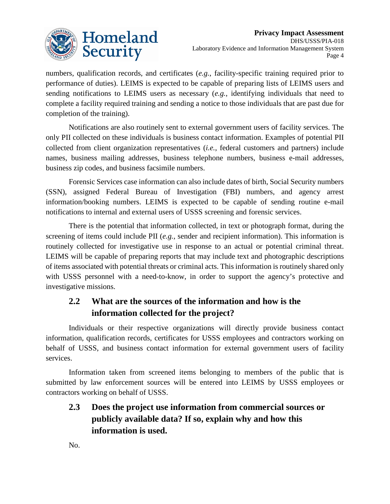

numbers, qualification records, and certificates (*e.g.*, facility-specific training required prior to performance of duties). LEIMS is expected to be capable of preparing lists of LEIMS users and sending notifications to LEIMS users as necessary (*e.g.*, identifying individuals that need to complete a facility required training and sending a notice to those individuals that are past due for completion of the training).

Notifications are also routinely sent to external government users of facility services. The only PII collected on these individuals is business contact information. Examples of potential PII collected from client organization representatives (*i.e.*, federal customers and partners) include names, business mailing addresses, business telephone numbers, business e-mail addresses, business zip codes, and business facsimile numbers.

Forensic Services case information can also include dates of birth, Social Security numbers (SSN), assigned Federal Bureau of Investigation (FBI) numbers, and agency arrest information/booking numbers. LEIMS is expected to be capable of sending routine e-mail notifications to internal and external users of USSS screening and forensic services.

There is the potential that information collected, in text or photograph format, during the screening of items could include PII (*e.g.*, sender and recipient information). This information is routinely collected for investigative use in response to an actual or potential criminal threat. LEIMS will be capable of preparing reports that may include text and photographic descriptions of items associated with potential threats or criminal acts. This information is routinely shared only with USSS personnel with a need-to-know, in order to support the agency's protective and investigative missions.

# **2.2 What are the sources of the information and how is the information collected for the project?**

Individuals or their respective organizations will directly provide business contact information, qualification records, certificates for USSS employees and contractors working on behalf of USSS, and business contact information for external government users of facility services.

Information taken from screened items belonging to members of the public that is submitted by law enforcement sources will be entered into LEIMS by USSS employees or contractors working on behalf of USSS.

**2.3 Does the project use information from commercial sources or publicly available data? If so, explain why and how this information is used.**

No.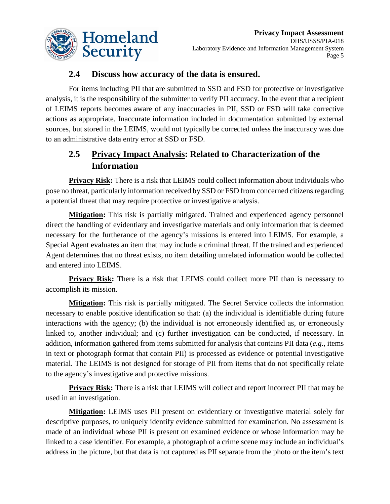

#### **2.4 Discuss how accuracy of the data is ensured.**

For items including PII that are submitted to SSD and FSD for protective or investigative analysis, it is the responsibility of the submitter to verify PII accuracy. In the event that a recipient of LEIMS reports becomes aware of any inaccuracies in PII, SSD or FSD will take corrective actions as appropriate. Inaccurate information included in documentation submitted by external sources, but stored in the LEIMS, would not typically be corrected unless the inaccuracy was due to an administrative data entry error at SSD or FSD.

## **2.5 Privacy Impact Analysis: Related to Characterization of the Information**

**Privacy Risk:** There is a risk that LEIMS could collect information about individuals who pose no threat, particularly information received by SSD or FSD from concerned citizens regarding a potential threat that may require protective or investigative analysis.

**Mitigation:** This risk is partially mitigated. Trained and experienced agency personnel direct the handling of evidentiary and investigative materials and only information that is deemed necessary for the furtherance of the agency's missions is entered into LEIMS. For example, a Special Agent evaluates an item that may include a criminal threat. If the trained and experienced Agent determines that no threat exists, no item detailing unrelated information would be collected and entered into LEIMS.

**Privacy Risk:** There is a risk that LEIMS could collect more PII than is necessary to accomplish its mission.

**Mitigation:** This risk is partially mitigated. The Secret Service collects the information necessary to enable positive identification so that: (a) the individual is identifiable during future interactions with the agency; (b) the individual is not erroneously identified as, or erroneously linked to, another individual; and (c) further investigation can be conducted, if necessary. In addition, information gathered from items submitted for analysis that contains PII data (*e.g.*, items in text or photograph format that contain PII) is processed as evidence or potential investigative material. The LEIMS is not designed for storage of PII from items that do not specifically relate to the agency's investigative and protective missions.

**Privacy Risk:** There is a risk that LEIMS will collect and report incorrect PII that may be used in an investigation.

**Mitigation:** LEIMS uses PII present on evidentiary or investigative material solely for descriptive purposes, to uniquely identify evidence submitted for examination. No assessment is made of an individual whose PII is present on examined evidence or whose information may be linked to a case identifier. For example, a photograph of a crime scene may include an individual's address in the picture, but that data is not captured as PII separate from the photo or the item's text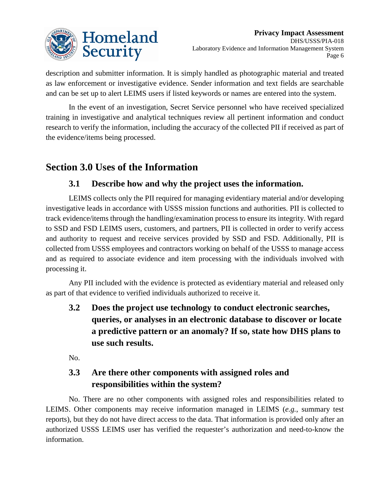

description and submitter information. It is simply handled as photographic material and treated as law enforcement or investigative evidence. Sender information and text fields are searchable and can be set up to alert LEIMS users if listed keywords or names are entered into the system.

In the event of an investigation, Secret Service personnel who have received specialized training in investigative and analytical techniques review all pertinent information and conduct research to verify the information, including the accuracy of the collected PII if received as part of the evidence/items being processed.

# **Section 3.0 Uses of the Information**

#### **3.1 Describe how and why the project uses the information.**

LEIMS collects only the PII required for managing evidentiary material and/or developing investigative leads in accordance with USSS mission functions and authorities. PII is collected to track evidence/items through the handling/examination process to ensure its integrity. With regard to SSD and FSD LEIMS users, customers, and partners, PII is collected in order to verify access and authority to request and receive services provided by SSD and FSD. Additionally, PII is collected from USSS employees and contractors working on behalf of the USSS to manage access and as required to associate evidence and item processing with the individuals involved with processing it.

Any PII included with the evidence is protected as evidentiary material and released only as part of that evidence to verified individuals authorized to receive it.

**3.2 Does the project use technology to conduct electronic searches, queries, or analyses in an electronic database to discover or locate a predictive pattern or an anomaly? If so, state how DHS plans to use such results.**

No.

# **3.3 Are there other components with assigned roles and responsibilities within the system?**

No. There are no other components with assigned roles and responsibilities related to LEIMS. Other components may receive information managed in LEIMS (*e.g.*, summary test reports), but they do not have direct access to the data. That information is provided only after an authorized USSS LEIMS user has verified the requester's authorization and need-to-know the information.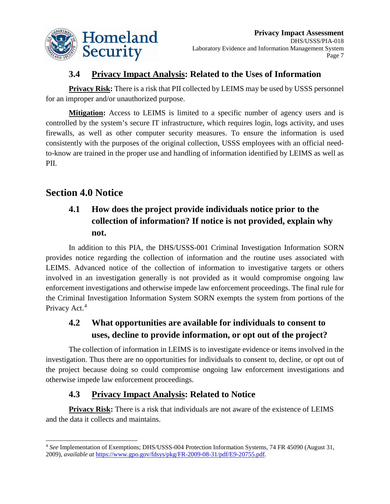

#### **3.4 Privacy Impact Analysis: Related to the Uses of Information**

**Privacy Risk:** There is a risk that PII collected by LEIMS may be used by USSS personnel for an improper and/or unauthorized purpose.

**Mitigation:** Access to LEIMS is limited to a specific number of agency users and is controlled by the system's secure IT infrastructure, which requires login, logs activity, and uses firewalls, as well as other computer security measures. To ensure the information is used consistently with the purposes of the original collection, USSS employees with an official needto-know are trained in the proper use and handling of information identified by LEIMS as well as PII.

# **Section 4.0 Notice**

# **4.1 How does the project provide individuals notice prior to the collection of information? If notice is not provided, explain why not.**

In addition to this PIA, the DHS/USSS-001 Criminal Investigation Information SORN provides notice regarding the collection of information and the routine uses associated with LEIMS. Advanced notice of the collection of information to investigative targets or others involved in an investigation generally is not provided as it would compromise ongoing law enforcement investigations and otherwise impede law enforcement proceedings. The final rule for the Criminal Investigation Information System SORN exempts the system from portions of the Privacy Act.<sup>[4](#page-7-0)</sup>

# **4.2 What opportunities are available for individuals to consent to uses, decline to provide information, or opt out of the project?**

The collection of information in LEIMS is to investigate evidence or items involved in the investigation. Thus there are no opportunities for individuals to consent to, decline, or opt out of the project because doing so could compromise ongoing law enforcement investigations and otherwise impede law enforcement proceedings.

## **4.3 Privacy Impact Analysis: Related to Notice**

**Privacy Risk:** There is a risk that individuals are not aware of the existence of LEIMS and the data it collects and maintains.

<span id="page-7-0"></span> <sup>4</sup> *See* Implementation of Exemptions; DHS/USSS-004 Protection Information Systems, 74 FR 45090 (August 31, 2009), *available at* [https://www.gpo.gov/fdsys/pkg/FR-2009-08-31/pdf/E9-20755.pdf.](https://www.gpo.gov/fdsys/pkg/FR-2009-08-31/pdf/E9-20755.pdf)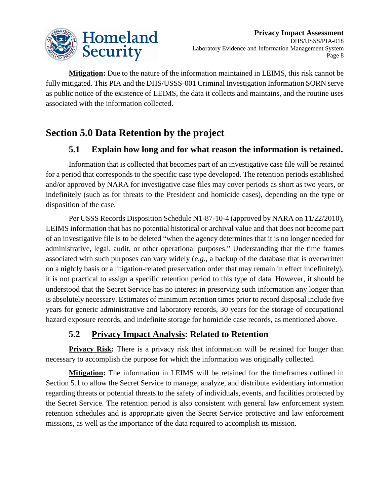

**Mitigation:** Due to the nature of the information maintained in LEIMS, this risk cannot be fully mitigated. This PIA and the DHS/USSS-001 Criminal Investigation Information SORN serve as public notice of the existence of LEIMS, the data it collects and maintains, and the routine uses associated with the information collected.

# **Section 5.0 Data Retention by the project**

#### **5.1 Explain how long and for what reason the information is retained.**

Information that is collected that becomes part of an investigative case file will be retained for a period that corresponds to the specific case type developed. The retention periods established and/or approved by NARA for investigative case files may cover periods as short as two years, or indefinitely (such as for threats to the President and homicide cases), depending on the type or disposition of the case.

Per USSS Records Disposition Schedule N1-87-10-4 (approved by NARA on 11/22/2010), LEIMS information that has no potential historical or archival value and that does not become part of an investigative file is to be deleted "when the agency determines that it is no longer needed for administrative, legal, audit, or other operational purposes." Understanding that the time frames associated with such purposes can vary widely (*e.g.*, a backup of the database that is overwritten on a nightly basis or a litigation-related preservation order that may remain in effect indefinitely), it is not practical to assign a specific retention period to this type of data. However, it should be understood that the Secret Service has no interest in preserving such information any longer than is absolutely necessary. Estimates of minimum retention times prior to record disposal include five years for generic administrative and laboratory records, 30 years for the storage of occupational hazard exposure records, and indefinite storage for homicide case records, as mentioned above.

#### **5.2 Privacy Impact Analysis: Related to Retention**

**Privacy Risk:** There is a privacy risk that information will be retained for longer than necessary to accomplish the purpose for which the information was originally collected.

**Mitigation:** The information in LEIMS will be retained for the timeframes outlined in Section 5.1 to allow the Secret Service to manage, analyze, and distribute evidentiary information regarding threats or potential threats to the safety of individuals, events, and facilities protected by the Secret Service. The retention period is also consistent with general law enforcement system retention schedules and is appropriate given the Secret Service protective and law enforcement missions, as well as the importance of the data required to accomplish its mission.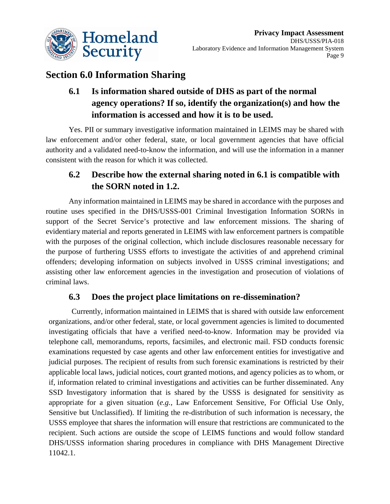

# **Section 6.0 Information Sharing**

# **6.1 Is information shared outside of DHS as part of the normal agency operations? If so, identify the organization(s) and how the information is accessed and how it is to be used.**

Yes. PII or summary investigative information maintained in LEIMS may be shared with law enforcement and/or other federal, state, or local government agencies that have official authority and a validated need-to-know the information, and will use the information in a manner consistent with the reason for which it was collected.

# **6.2 Describe how the external sharing noted in 6.1 is compatible with the SORN noted in 1.2.**

Any information maintained in LEIMS may be shared in accordance with the purposes and routine uses specified in the DHS/USSS-001 Criminal Investigation Information SORNs in support of the Secret Service's protective and law enforcement missions. The sharing of evidentiary material and reports generated in LEIMS with law enforcement partners is compatible with the purposes of the original collection, which include disclosures reasonable necessary for the purpose of furthering USSS efforts to investigate the activities of and apprehend criminal offenders; developing information on subjects involved in USSS criminal investigations; and assisting other law enforcement agencies in the investigation and prosecution of violations of criminal laws.

#### **6.3 Does the project place limitations on re-dissemination?**

Currently, information maintained in LEIMS that is shared with outside law enforcement organizations, and/or other federal, state, or local government agencies is limited to documented investigating officials that have a verified need-to-know. Information may be provided via telephone call, memorandums, reports, facsimiles, and electronic mail. FSD conducts forensic examinations requested by case agents and other law enforcement entities for investigative and judicial purposes. The recipient of results from such forensic examinations is restricted by their applicable local laws, judicial notices, court granted motions, and agency policies as to whom, or if, information related to criminal investigations and activities can be further disseminated. Any SSD Investigatory information that is shared by the USSS is designated for sensitivity as appropriate for a given situation (*e.g.*, Law Enforcement Sensitive, For Official Use Only, Sensitive but Unclassified). If limiting the re-distribution of such information is necessary, the USSS employee that shares the information will ensure that restrictions are communicated to the recipient. Such actions are outside the scope of LEIMS functions and would follow standard DHS/USSS information sharing procedures in compliance with DHS Management Directive 11042.1.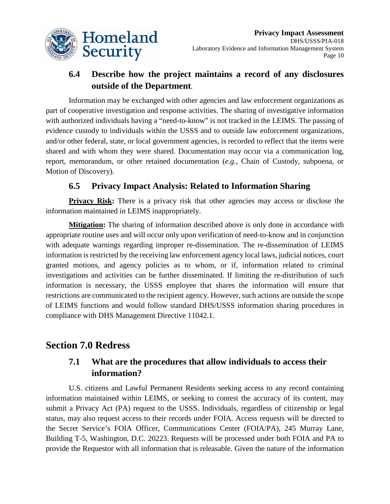

# **6.4 Describe how the project maintains a record of any disclosures outside of the Department**.

Information may be exchanged with other agencies and law enforcement organizations as part of cooperative investigation and response activities. The sharing of investigative information with authorized individuals having a "need-to-know" is not tracked in the LEIMS. The passing of evidence custody to individuals within the USSS and to outside law enforcement organizations, and/or other federal, state, or local government agencies, is recorded to reflect that the items were shared and with whom they were shared. Documentation may occur via a communication log, report, memorandum, or other retained documentation (*e.g.*, Chain of Custody, subpoena, or Motion of Discovery).

#### **6.5 Privacy Impact Analysis: Related to Information Sharing**

**Privacy Risk:** There is a privacy risk that other agencies may access or disclose the information maintained in LEIMS inappropriately.

**Mitigation:** The sharing of information described above is only done in accordance with appropriate routine uses and will occur only upon verification of need-to-know and in conjunction with adequate warnings regarding improper re-dissemination. The re-dissemination of LEIMS information is restricted by the receiving law enforcement agency local laws, judicial notices, court granted motions, and agency policies as to whom, or if, information related to criminal investigations and activities can be further disseminated. If limiting the re-distribution of such information is necessary, the USSS employee that shares the information will ensure that restrictions are communicated to the recipient agency. However, such actions are outside the scope of LEIMS functions and would follow standard DHS/USSS information sharing procedures in compliance with DHS Management Directive 11042.1.

#### **Section 7.0 Redress**

#### **7.1 What are the procedures that allow individuals to access their information?**

U.S. citizens and Lawful Permanent Residents seeking access to any record containing information maintained within LEIMS, or seeking to contest the accuracy of its content, may submit a Privacy Act (PA) request to the USSS. Individuals, regardless of citizenship or legal status, may also request access to their records under FOIA. Access requests will be directed to the Secret Service's FOIA Officer, Communications Center (FOIA/PA), 245 Murray Lane, Building T-5, Washington, D.C. 20223. Requests will be processed under both FOIA and PA to provide the Requestor with all information that is releasable. Given the nature of the information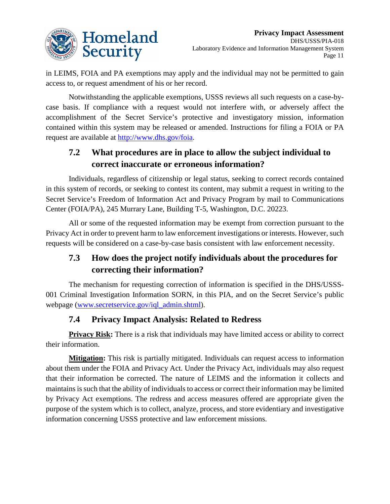

in LEIMS, FOIA and PA exemptions may apply and the individual may not be permitted to gain access to, or request amendment of his or her record.

Notwithstanding the applicable exemptions, USSS reviews all such requests on a case-bycase basis. If compliance with a request would not interfere with, or adversely affect the accomplishment of the Secret Service's protective and investigatory mission, information contained within this system may be released or amended. Instructions for filing a FOIA or PA request are available at [http://www.dhs.gov/foia.](http://www.dhs.gov/foia)

# **7.2 What procedures are in place to allow the subject individual to correct inaccurate or erroneous information?**

Individuals, regardless of citizenship or legal status, seeking to correct records contained in this system of records, or seeking to contest its content, may submit a request in writing to the Secret Service's Freedom of Information Act and Privacy Program by mail to Communications Center (FOIA/PA), 245 Murrary Lane, Building T-5, Washington, D.C. 20223.

All or some of the requested information may be exempt from correction pursuant to the Privacy Act in order to prevent harm to law enforcement investigations or interests. However, such requests will be considered on a case-by-case basis consistent with law enforcement necessity.

# **7.3 How does the project notify individuals about the procedures for correcting their information?**

The mechanism for requesting correction of information is specified in the DHS/USSS-001 Criminal Investigation Information SORN, in this PIA, and on the Secret Service's public webpage [\(www.secretservice.gov/iql\\_admin.shtml\)](http://www.secretservice.gov/iql_admin.shtml).

## **7.4 Privacy Impact Analysis: Related to Redress**

**Privacy Risk:** There is a risk that individuals may have limited access or ability to correct their information.

**Mitigation:** This risk is partially mitigated. Individuals can request access to information about them under the FOIA and Privacy Act. Under the Privacy Act, individuals may also request that their information be corrected. The nature of LEIMS and the information it collects and maintains is such that the ability of individuals to access or correct their information may be limited by Privacy Act exemptions. The redress and access measures offered are appropriate given the purpose of the system which is to collect, analyze, process, and store evidentiary and investigative information concerning USSS protective and law enforcement missions.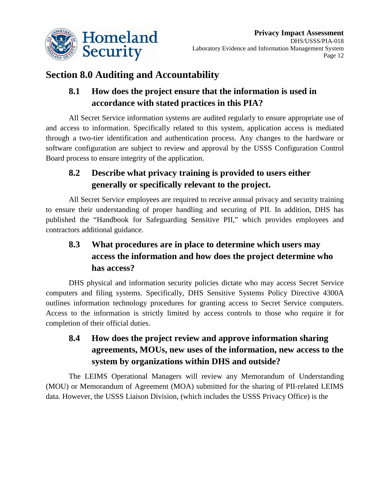

# **Section 8.0 Auditing and Accountability**

# **8.1 How does the project ensure that the information is used in accordance with stated practices in this PIA?**

All Secret Service information systems are audited regularly to ensure appropriate use of and access to information. Specifically related to this system, application access is mediated through a two-tier identification and authentication process. Any changes to the hardware or software configuration are subject to review and approval by the USSS Configuration Control Board process to ensure integrity of the application.

# **8.2 Describe what privacy training is provided to users either generally or specifically relevant to the project.**

All Secret Service employees are required to receive annual privacy and security training to ensure their understanding of proper handling and securing of PII. In addition, DHS has published the "Handbook for Safeguarding Sensitive PII," which provides employees and contractors additional guidance.

# **8.3 What procedures are in place to determine which users may access the information and how does the project determine who has access?**

DHS physical and information security policies dictate who may access Secret Service computers and filing systems. Specifically, DHS Sensitive Systems Policy Directive 4300A outlines information technology procedures for granting access to Secret Service computers. Access to the information is strictly limited by access controls to those who require it for completion of their official duties.

# **8.4 How does the project review and approve information sharing agreements, MOUs, new uses of the information, new access to the system by organizations within DHS and outside?**

The LEIMS Operational Managers will review any Memorandum of Understanding (MOU) or Memorandum of Agreement (MOA) submitted for the sharing of PII-related LEIMS data. However, the USSS Liaison Division, (which includes the USSS Privacy Office) is the